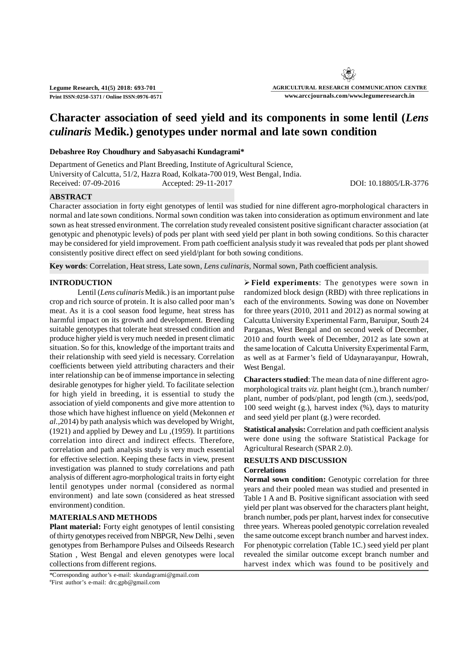**Legume Research, 41(5) 2018: 693-701 Print ISSN:0250-5371 / Online ISSN:0976-0571**

# **Character association of seed yield and its components in some lentil (***Lens culinaris* **Medik.) genotypes under normal and late sown condition**

### **Debashree Roy Choudhury and Sabyasachi Kundagrami\***

Department of Genetics and Plant Breeding, Institute of Agricultural Science, University of Calcutta, 51/2, Hazra Road, Kolkata-700 019, West Bengal, India. Received: 07-09-2016 Accepted: 29-11-2017 DOI: 10.18805/LR-3776

#### **ABSTRACT**

Character association in forty eight genotypes of lentil was studied for nine different agro-morphological characters in normal and late sown conditions. Normal sown condition was taken into consideration as optimum environment and late sown as heat stressed environment. The correlation study revealed consistent positive significant character association (at genotypic and phenotypic levels) of pods per plant with seed yield per plant in both sowing conditions. So this character may be considered for yield improvement. From path coefficient analysis study it was revealed that pods per plant showed consistently positive direct effect on seed yield/plant for both sowing conditions.

**Key words**: Correlation, Heat stress, Late sown, *Lens culinaris*, Normal sown, Path coefficient analysis.

### **INTRODUCTION**

Lentil (*Lens culinaris* Medik.) is an important pulse crop and rich source of protein. It is also called poor man's meat. As it is a cool season food legume, heat stress has harmful impact on its growth and development. Breeding suitable genotypes that tolerate heat stressed condition and produce higher yield is very much needed in present climatic situation. So for this, knowledge of the important traits and their relationship with seed yield is necessary. Correlation coefficients between yield attributing characters and their inter relationship can be of immense importance in selecting desirable genotypes for higher yield. To facilitate selection for high yield in breeding, it is essential to study the association of yield components and give more attention to those which have highest influence on yield (Mekonnen *et al.*,2014) by path analysis which was developed by Wright, (1921) and applied by Dewey and Lu ,(1959). It partitions correlation into direct and indirect effects. Therefore, correlation and path analysis study is very much essential for effective selection. Keeping these facts in view, present investigation was planned to study correlations and path analysis of different agro-morphological traits in forty eight lentil genotypes under normal (considered as normal environment) and late sown (considered as heat stressed environment) condition.

## **MATERIALS AND METHODS**

**Plant material:** Forty eight genotypes of lentil consisting of thirty genotypes received from NBPGR, New Delhi , seven genotypes from Berhampore Pulses and Oilseeds Research Station , West Bengal and eleven genotypes were local collections from different regions.

\*Corresponding author's e-mail: skundagrami@gmail.com #First author's e-mail: drc.gpb@gmail.com

**Field experiments**: The genotypes were sown in randomized block design (RBD) with three replications in each of the environments. Sowing was done on November for three years (2010, 2011 and 2012) as normal sowing at Calcutta University Experimental Farm, Baruipur, South 24 Parganas, West Bengal and on second week of December, 2010 and fourth week of December, 2012 as late sown at the same location of Calcutta University Experimental Farm, as well as at Farmer's field of Udaynarayanpur, Howrah, West Bengal.

**Characters studied**: The mean data of nine different agromorphological traits *viz.* plant height (cm.), branch number/ plant, number of pods/plant, pod length (cm.), seeds/pod, 100 seed weight (g.), harvest index (%), days to maturity and seed yield per plant (g.) were recorded.

**Statistical analysis:** Correlation and path coefficient analysis were done using the software Statistical Package for Agricultural Research (SPAR 2.0).

## **RESULTS AND DISCUSSION Correlations**

**Normal sown condition:** Genotypic correlation for three years and their pooled mean was studied and presented in Table 1 A and B. Positive significant association with seed yield per plant was observed for the characters plant height, branch number, pods per plant, harvest index for consecutive three years. Whereas pooled genotypic correlation revealed the same outcome except branch number and harvest index. For phenotypic correlation (Table 1C.) seed yield per plant revealed the similar outcome except branch number and harvest index which was found to be positively and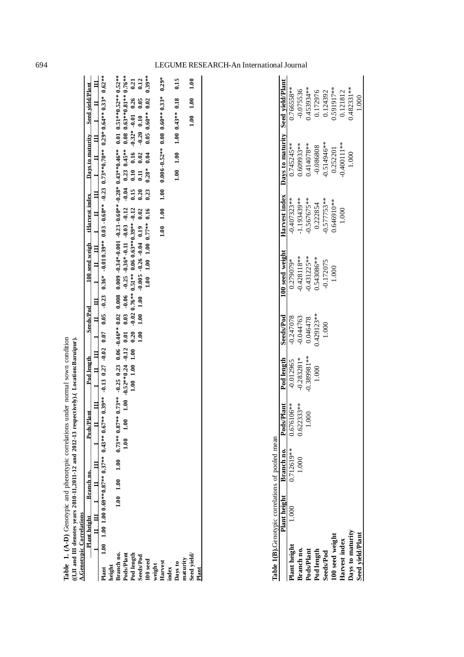|                                                                                                                                                                   |                           |                |            | Table 1. (A-D) Genotypic and phenotypic correlations under normal sown condition                                                                                           |                                         |                 |                                                                        |                          |                                                                                                                                                                                                                                                                                                                          |                                                 |                                         |                                                                                                                                                    |                |                                                                                                                                                      |                                                     |
|-------------------------------------------------------------------------------------------------------------------------------------------------------------------|---------------------------|----------------|------------|----------------------------------------------------------------------------------------------------------------------------------------------------------------------------|-----------------------------------------|-----------------|------------------------------------------------------------------------|--------------------------|--------------------------------------------------------------------------------------------------------------------------------------------------------------------------------------------------------------------------------------------------------------------------------------------------------------------------|-------------------------------------------------|-----------------------------------------|----------------------------------------------------------------------------------------------------------------------------------------------------|----------------|------------------------------------------------------------------------------------------------------------------------------------------------------|-----------------------------------------------------|
| ( $1,11$ and III denotes years 2010-11,2011-12 and 2012-13 resp<br><b>A.Genotypic Correlations</b>                                                                |                           |                |            |                                                                                                                                                                            | pectively).(Location:Baruipur).         |                 |                                                                        |                          |                                                                                                                                                                                                                                                                                                                          |                                                 |                                         |                                                                                                                                                    |                |                                                                                                                                                      |                                                     |
|                                                                                                                                                                   | <b>Plant height</b>       |                | Branch no. | <b>Pods/Plant</b>                                                                                                                                                          | Pod length                              |                 | <b>Seeds/Pod</b>                                                       |                          | 100 seed weigh                                                                                                                                                                                                                                                                                                           | tHarvest index                                  |                                         | Days to maturity                                                                                                                                   |                | <b>Seed yield/Plant</b>                                                                                                                              |                                                     |
| $\overline{a}$                                                                                                                                                    | $\mathbf{H}$ $\mathbf{H}$ | $\overline{a}$ | $\Xi$      | $\overline{a}$<br>╡                                                                                                                                                        | $\Box$<br>Ξ                             | $\Box$          | $\mathbf{H}$                                                           | $\Box$                   | $\mathbf{H}$ $\mathbf{H}$                                                                                                                                                                                                                                                                                                | F                                               | $\Box$                                  | $\blacksquare$                                                                                                                                     | $\Xi$          | Ħ                                                                                                                                                    | $\mathbf{H}$                                        |
| Branch no.<br>Pods/Plant<br>Seed yield/<br>Pod length<br>Seeds/Pod<br>maturity<br>$100$ seed<br>Harvest<br>Days to<br>weight<br>height<br>index<br>Plant<br>Plant |                           |                |            | $1.00$ $1.00$ $1.00$ $0.69**0.87**$ $0.37**$ $0.43**$ $0.67**$ $0.39**$ $-0.13$ $0.27$ $-0.02$ $0.07$<br>$1.00$ $1.00$ $1.00$ $0.73**0.87**0.73**0.25$ 0.23<br>$1.00$ 1.00 | $1.00\quad 1.00$<br>$1.00 - 0.52**0.24$ | $-0.12$<br>1.00 | $-0.02$<br>1.00<br>$0.06 - 0.46**0.02$<br>0.03<br>0.20<br>0.01<br>1.00 | 0.008<br>$-0.06$<br>1.00 | $0.35^* = 0.20$ $0.35^* = 0.20$ $0.65^* = 0.03$ $0.675^* = 0.03$ $0.675^* = 0.03$ $0.625^* = 0.03$ $0.625^* = 0.03$ $0.625^* = 0.03$<br>$0.009 - 0.34*-0.001 - 0.23 - 0.60*** - 0.28* 0.43**0.46**$<br>$-0.25 - 0.36* -0.11 - 0.03 - 0.12$<br>$0.76**0.51**0.060.63**0.39**-0.12$<br>$-0.005 - 0.26 - 0.04$ 0.19<br>1.00 | 1.00<br>0.02<br>$1.00$ 1.00 0.77** 0.16<br>1.00 | $-0.04$<br>0.15<br>1.00<br>0.20<br>0.23 | $0.606 - 0.52**$ 0.60* 0.53*<br>$0.23$ $0.45***$<br>$1.00$ 1.00<br>$\begin{array}{c} 0.16 \\ 0.02 \end{array}$<br>0.04<br>0.10<br>$0.28*$<br>$\Xi$ | $-0.20$ $0.10$ | $0.01$ $0.51**0.52**0.52**$<br>$0.08$ $0.63**0.81**0.76**$<br>$-0.32* -0.01$ 0.26<br>1.00 1.00<br>0.05<br>$1.00$ 0.43** 0.18<br>$0.05$ $0.60**$ 0.02 | $0.39**$<br>$0.29*$<br>1.00<br>0.12<br>0.15<br>0.21 |
| Table 1(B).Genotypic correlations of pooled mean                                                                                                                  |                           |                |            |                                                                                                                                                                            |                                         |                 |                                                                        |                          |                                                                                                                                                                                                                                                                                                                          |                                                 |                                         |                                                                                                                                                    |                |                                                                                                                                                      |                                                     |
|                                                                                                                                                                   | Plant height              |                | Branch no. | Pods/Plant                                                                                                                                                                 | Pod length                              |                 | Seeds/Pod                                                              |                          | 100 seed weight                                                                                                                                                                                                                                                                                                          | Harvest index                                   |                                         | Days to maturity                                                                                                                                   |                | Seed yield/Plant                                                                                                                                     |                                                     |
| Plant height                                                                                                                                                      | 1.000                     |                | 0.712619** | 0.676106**                                                                                                                                                                 | $-0.012965$                             |                 | $-0.247078$                                                            |                          | 0.279079*                                                                                                                                                                                                                                                                                                                | $-0.407323**$                                   |                                         | $0.745245***$                                                                                                                                      |                | 0.766558**                                                                                                                                           |                                                     |
| Branch no.<br>Pods/Plant                                                                                                                                          |                           |                | 1.000      | $0.622333**$<br>1.000                                                                                                                                                      | -0.389981**<br>$-0.283281*$             |                 | $-0.044763$<br>0.046478                                                |                          | $-0.431225**$<br>$-0.428118**$                                                                                                                                                                                                                                                                                           | $-1.193439**$<br>$-0.567675***$                 |                                         | 0.609933**<br>$0.414078**$                                                                                                                         |                | 0.453934**<br>$-0.075536$                                                                                                                            |                                                     |
| Pod length                                                                                                                                                        |                           |                |            |                                                                                                                                                                            | 1.000                                   |                 | $0.429123**$                                                           |                          | $0.543086**$                                                                                                                                                                                                                                                                                                             | 0.222854                                        |                                         | -0.086808                                                                                                                                          |                | 0.172976                                                                                                                                             |                                                     |
| <b>Seeds/Pod</b>                                                                                                                                                  |                           |                |            |                                                                                                                                                                            |                                         |                 | 1.000                                                                  |                          | $-0.172075$                                                                                                                                                                                                                                                                                                              | $-0.577753**$                                   |                                         | $-0.514946**$                                                                                                                                      |                | 0.124392                                                                                                                                             |                                                     |
| 100 seed weight                                                                                                                                                   |                           |                |            |                                                                                                                                                                            |                                         |                 |                                                                        |                          | 1.000                                                                                                                                                                                                                                                                                                                    | 0.646910**                                      |                                         | 0.252201                                                                                                                                           |                | 0.591917**                                                                                                                                           |                                                     |
| Harvest index                                                                                                                                                     |                           |                |            |                                                                                                                                                                            |                                         |                 |                                                                        |                          |                                                                                                                                                                                                                                                                                                                          | 1.000                                           |                                         | $-0.400111**$                                                                                                                                      |                | 0.121812                                                                                                                                             |                                                     |
| Days to maturity<br>Seed yield/Plant                                                                                                                              |                           |                |            |                                                                                                                                                                            |                                         |                 |                                                                        |                          |                                                                                                                                                                                                                                                                                                                          |                                                 |                                         | 1.000                                                                                                                                              |                | $0.482331**$<br>1.000                                                                                                                                |                                                     |
|                                                                                                                                                                   |                           |                |            |                                                                                                                                                                            |                                         |                 |                                                                        |                          |                                                                                                                                                                                                                                                                                                                          |                                                 |                                         |                                                                                                                                                    |                |                                                                                                                                                      |                                                     |

## 694 LEGUME RESEARCH-A n International Journal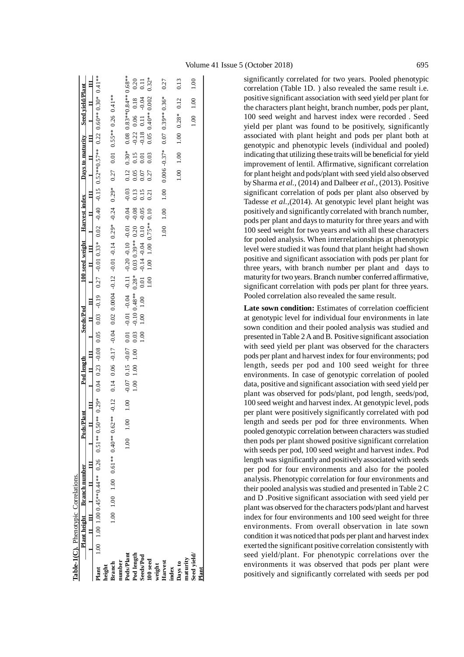$0.08$  0.83\*\*0.84\*\*0.68\*\* **Pods/Plant** 1.00 1.00 1.00 -0.07 0.15 -0.07 0.01 -0.01 -0.04 -0.11 -0.20 -0.10 -0.01 -0.04 -0.03 0.12 0.30\* 0.08 0.83\*\*0.84\*\* 0.68\*\* 0.20  $0.11$  $0.32*$ 0.27 0.13 **100 seed** 1.00 1.00 1.00 0.75\*\* 0.10 0.21 0.27 0.03 0.05 0.40\*\* 0.002 0.32\* 1.00 **Pod length** 1.00 1.00 1.00 0.03 -0.10 0.48\*\* 0.28\* 0.03 0.39\*\* 0.20 -0.08 0.13 0.05 0.15 -0.22 0.06 0.18 0.20 **Harvest** 1.00 1.00 1.00 0.006 -0.37\* 0.07 0.39\*\* 0.36\* 0.27 **Days to** 1.00 1.00 1.00 0.28\* 0.12 0.13 **Seed yield/** 1.00 1.00 1.00 **Seeds/Pod** 1.00 1.00 1.00 0.01 -0.14 -0.04 0.10 -0.05 0.15 0.07 0.01 -0.18 0.11 -0.04 0.11  $-0.22$  0.06 0.18  $-0.04$  $0.05$   $0.40**0.002$  $0.07$  0.39\*\* 0.36\* **Branch** 1.00 1.00 1.00 1.00 1.00 1.00 1.000 1.000 1.000 0.000 0.000 0.000 0.000 0.000 0.00 0.00 0.01 0.00 0.01 0.000 0.00 0.00 0.00 0.00 0.00 0.00 0.00 0.00 0.000 0.000 0.000 0.000 0.000 0.000 0.000 0.00 0.00 0.00 0.00 0. 0.12  $1.00$  $0.28*$  $0.11$  $00$  $-0.18$  $1.00$  $0.006 - 0.37*$  $0.30*$  $1.00$  $0.15$ 0.03  $0.01$ 0.12  $1.00$  $0.05$ 0.27 0.07  $-0.03$  $1.00\,$ 0.13 0.15 0.21 1.00 1.00  $-0.08$  $-0.05$  $-0.20 - 0.10 - 0.01 - 0.04$  $1.00$  1.00 0.75\*\* 0.10  $0.03039**0.20$  $-0.14 - 0.04$  0.10  $-0.11$  $-0.10048**0.28*$  $0.01$  $1.00$  $-0.01 - 0.04$  $1.00$  $1.00$  $0.01$ 0.03  $1.00$  $-0.07$  0.15  $-0.07$  $1.00\quad1.00$  $1.00$  $1.00\,$ 1.00 1.00

**Table-1(C).** Phenotypic Correlations.

**Table-1(C).** Phenotypic Correlations.

**I**

Plant

 $\mathbf{H}$   $\mathbf{H}$ 

 $1.00$  1.00 1.00 0.45\*\*0.44\*\* 0.26 Plant height Branch number

 $\mathbf{H}$   $\mathbf{H}$ 

**height**

 $0.00$  1.00 1.00 0.61\*\* 0.40\*\* 0.62\*\* -0.12

**number**

Pod length Seeds/Pod  $100$  seed

**weight**

**index**

**maturity**

**Plant**

**Plant height Branch number Pods/Plant Pod length Seeds/Pod 100 seed weight Harvest index Days to maturity Seed yield/Plant**

**Seeds/Pod**  $\mathbf{I}$ 

 $\frac{1}{\sqrt{1-\frac{1}{\sqrt{1-\frac{1}{\sqrt{1-\frac{1}{\sqrt{1-\frac{1}{\sqrt{1-\frac{1}{\sqrt{1-\frac{1}{\sqrt{1-\frac{1}{\sqrt{1-\frac{1}{\sqrt{1-\frac{1}{\sqrt{1-\frac{1}{\sqrt{1-\frac{1}{\sqrt{1-\frac{1}{\sqrt{1-\frac{1}{\sqrt{1-\frac{1}{\sqrt{1-\frac{1}{\sqrt{1-\frac{1}{\sqrt{1-\frac{1}{\sqrt{1-\frac{1}{\sqrt{1-\frac{1}{\sqrt{1-\frac{1}{\sqrt{1-\frac{1}{\sqrt{1-\frac{1}{\sqrt{1-\frac{1}{\sqrt{1-\frac{1$ **Plant** 1.00 1.00 1.00 0.45\*\*0.44\*\* 0.26 0.51\*\* 0.50\*\* 0.29\* 0.04 0.23 -0.08 0.05 0.03 -0.19 0.27 -0.01 0.33\* 0.02 -0.40 -0.15 0.52\*\*0.57\*\* 0.22 0.60\*\* 0.30\* 0.41\*\*

 $\mathbf{H}$   $\mathbf{H}$ Pod length

Ħ

Pods/Plant  $\blacksquare$ 

Ħ

 $0.04$   $0.23$   $-0.08$   $0.05$   $0.03$   $-0.19$ 

 $0.51**0.50**0.29*$ 

 $\mathbf{H}$  iii

 $0.27$   $-0.01$   $0.33$ \*  $0.02$   $-0.40$   $-0.52$ \*\* $0.57$ \*\*  $0.22$   $0.60$ \*\* $0.30$ \*  $0.41$ \*\*

 $\mathbf{I}$ 

Ħ

 $\mathbf{H}$ 

 $0.55***$  0.26 0.41 \*\*

 $0.01$ 

0.27

 $0.29*$ 

 $0.14$   $0.06$   $-0.17$   $-0.04$   $0.0004$   $-0.12$   $-0.01$   $-0.14$   $0.29$ \*  $-0.24$ 

100 seed weight Harvest index Days to maturity Seed yield/Plant

significantly correlated for two years. Pooled phenotypic correlation (Table 1D. ) also revealed the same result i.e. positive significant association with seed yield per plant for the characters plant height, branch number, pods per plant, 100 seed weight and harvest index were recorded . Seed yield per plant was found to be positively, significantly associated with plant height and pods per plant both at genotypic and phenotypic levels (individual and pooled) indicating that utilizing these traits will be beneficial for yield improvement of lentil. Affirmative, significant correlation for plant height and pods/plant with seed yield also observed by Sharma *et al.*, (2014) and Dalbeer *et al.*, (2013). Positive significant correlation of pods per plant also observed by Tadesse *et al.*,(2014). At genotypic level plant height was positively and significantly correlated with branch number, pods per plant and days to maturity for three years and with 100 seed weight for two years and with all these characters for pooled analysis. When interrelationships at phenotypic level were studied it was found that plant height had shown positive and significant association with pods per plant for three years, with branch number per plant and days to maturity for two years. Branch number conferred affirmative, significant correlation with pods per plant for three years. Pooled correlation also revealed the same result.

**Late sown condition:** Estimates of correlation coefficient at genotypic level for individual four environments in late sown condition and their pooled analysis was studied and presented in Table 2 A and B. Positive significant association with seed yield per plant was observed for the characters pods per plant and harvest index for four environments; pod length, seeds per pod and 100 seed weight for three environments. In case of genotypic correlation of pooled data, positive and significant association with seed yield per plant was observed for pods/plant, pod length, seeds/pod, 100 seed weight and harvest index. At genotypic level, pods per plant were positively significantly correlated with pod length and seeds per pod for three environments. When pooled genotypic correlation between characters was studied then pods per plant showed positive significant correlation with seeds per pod, 100 seed weight and harvest index. Pod length was significantly and positively associated with seeds per pod for four environments and also for the pooled analysis. Phenotypic correlation for four environments and their pooled analysis was studied and presented in Table 2 C and D .Positive significant association with seed yield per plant was observed for the characters pods/plant and harvest index for four environments and 100 seed weight for three environments. From overall observation in late sown condition it was noticed that pods per plant and harvest index exerted the significant positive correlation consistently with seed yield/plant. For phenotypic correlations over the environments it was observed that pods per plant were positively and significantly correlated with seeds per pod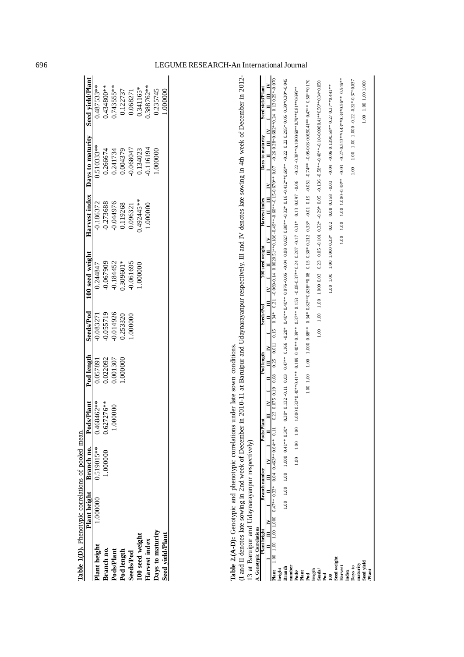|                  | Table 1(D). Phenotypic correlations of pooled mean. |                              |              |            |           |                 |            |                                |                  |
|------------------|-----------------------------------------------------|------------------------------|--------------|------------|-----------|-----------------|------------|--------------------------------|------------------|
|                  |                                                     | Plant height Branch no. Pods | Plant        | Pod length | Seeds/Pod | 100 seed weight |            | Harvest index Days to maturity | Seed yield/Plant |
| Plant height     | 1.000000                                            | 0.519015**                   | 0.468462**   | 168750.0   | 0.083271  | 1.244847        | 0.186372   | 1.510333**                     | 0.487533**       |
| Branch no.       |                                                     | .000000                      | $0.627276**$ | 022092     | 0.055719  | 0.067909        | 0.273688   |                                | 134800**         |
| Pods/Plant       |                                                     |                              | 000000.1     | 1.001307   | 0.014926  | 0.184452        | 0.044976   | 0.266674<br>0.241734           | $0.743555***$    |
| Pod length       |                                                     |                              |              | .000000    | 1.253320  | 1,309601*       | 0.119268   | 0.004379                       | 0.122737         |
| <b>Seeds/Pod</b> |                                                     |                              |              |            | .000000   | 0.61695         | 1.096321   | 1.06804                        | 0.068271         |
| 100 seed weight  |                                                     |                              |              |            |           | .000000         | $492445**$ | 134023                         | 0.341165*        |
| Harvest index    |                                                     |                              |              |            |           |                 | .000000    | 116194                         | .388762**        |
| Days to maturity |                                                     |                              |              |            |           |                 |            | .000000.                       | 0.235745         |
| Seed yield/Plant |                                                     |                              |              |            |           |                 |            |                                | 000000.          |
|                  |                                                     |                              |              |            |           |                 |            |                                |                  |

**Table 2.(A-D):** Genotypic and phenotypic correlations under late sown conditions.

Table 2.(A-D): Genotypic and phenotypic correlations under late sown conditions.<br>(I and II denotes late sowing in 2nd week of December in 2010-11 at Baruipur and Udaynarayanpur respectively. III and IV denotes late sowing (I and II denotes late sowing in 2nd week of December in 2010-11 at Baruipur and Udaynarayanpur respectively. III and IV denotes late sowing in 4th week of December in 2012- 13 at Baruipur and Udaynarayanpur respectively)

| AHII I AHII I AHII I AHII I AHII I AHII I AHII I AHII I AHII I AHII I AHII I AHII I AHII I AHII I AHII I AHII<br>$1.00$ 1.00 1.000 -0.22 -0.31*-0.37*0.037<br>Seed vield/Plant<br>9.00 1.00 1.000 1.000 0.000 0.000 0.000 0.000 0.000 0.000 0.000 0.000 0.000 0.000 0.000 0.000 0.000 0.000 0.00<br>***0.30**0.30**0.30*0.000 0.010 0.010 0.010 0.010 0.010 0.010 0.010 0.010 0.027**0.37**0.37**0.37**0.30**0.30*0.000 0.010 0.010 0.010 0.010 0.010 0.010 0.010 0.010 0.010 0.010 0.010 0.010 0.010 0.010 0.010 0.010 0.010 0.01<br>Days to maturity<br>$\frac{8}{10}$<br>Harvest index<br>100 seed weight<br>Seeds/Pod<br>1.00<br>Podlength<br>Pods/Pl<br>$1.00$ 1.00 1.00 1.000 0.41** 0.30*<br>$1.00$ $1.00$<br><b>lant</b> 1.00 1.00 1.000 1.000 0.47** 0.33* 0.04 0.463** 0.64** 0.11<br>1.00<br>$\geq$<br>Branch number<br>$\Box$<br>Plant height<br>$\equiv$<br>$\bar{F}$<br>leed weight<br>Days to<br>maturity<br>Harvest<br>index<br>umber<br>ranch<br>Pod<br>length<br>Seeds/<br>Pod<br>eight<br>boqs/<br>lant<br>Ē |
|---------------------------------------------------------------------------------------------------------------------------------------------------------------------------------------------------------------------------------------------------------------------------------------------------------------------------------------------------------------------------------------------------------------------------------------------------------------------------------------------------------------------------------------------------------------------------------------------------------------------------------------------------------------------------------------------------------------------------------------------------------------------------------------------------------------------------------------------------------------------------------------------------------------------------------------------------------------------------------------------------------------------------------|
| 1.00 1.00 1.00 1.000<br>Seed yield<br>Plant                                                                                                                                                                                                                                                                                                                                                                                                                                                                                                                                                                                                                                                                                                                                                                                                                                                                                                                                                                                     |

#### 696 LEGUME RESEARCH-A n International Journal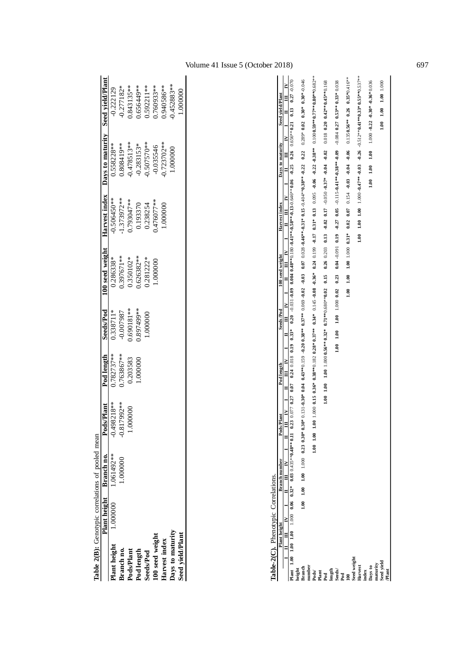|                         | Table 2(B): Genotypic correlations of pooled mean |                         |                            |              |              |             |              |                                                                 |            |
|-------------------------|---------------------------------------------------|-------------------------|----------------------------|--------------|--------------|-------------|--------------|-----------------------------------------------------------------|------------|
|                         |                                                   | Plant height Branch no. | <b>Pods/Plant</b>          | Pod length   | Seeds/Pod    |             |              | 100 seed weight Harvest index Days to maturity Seed yield/Plant |            |
| Plant height            | 1.000000                                          | 1.061492 **             | 0.498218**                 | $0.782737**$ | 1.338711*    | 1.286338*   | $0.506450**$ | 1.558228**                                                      | 0.222129   |
| Branch no.              |                                                   | .000000.                | 7992 **<br>$-0.81^{\circ}$ | .763867**    | -0.007987    | .397671**   | 1.373972**   | **611808.6                                                      | 1.277182*  |
| ods/Plant               |                                                   |                         | 00000                      | 1.203583     | $0.690181**$ | $0.350102*$ | ,793047**    | $0.478513**$                                                    | 1.843135** |
| Pod length              |                                                   |                         |                            | .000000      | **667468.6   | 1.626382**  | 0.193370     | $0.283153*$                                                     | 0.656449** |
| seeds/Pod               |                                                   |                         |                            |              | .000000      | $0.281222*$ | 0.238254     | 0.507570**                                                      | 1.592211** |
| 100 seed weight         |                                                   |                         |                            |              |              | .000000     | **76077.     | 0.035546                                                        | .760933**  |
| <b>Iarvest</b> index    |                                                   |                         |                            |              |              |             | 000000       | $0.723702**$                                                    | 1,940586** |
| Days to maturity        |                                                   |                         |                            |              |              |             |              | 0000001                                                         | 1.452883** |
| <b>Seed</b> yield/Plant |                                                   |                         |                            |              |              |             |              |                                                                 | .000000    |
|                         |                                                   |                         |                            |              |              |             |              |                                                                 |            |

| mean                   |  |
|------------------------|--|
| ot pooled<br>リーン・ニ     |  |
|                        |  |
|                        |  |
|                        |  |
|                        |  |
| Genotypic correlations |  |
| $2(B)$ :               |  |
| Table                  |  |
|                        |  |

| <b>Dhanotsmic</b> |  |
|-------------------|--|
|                   |  |
|                   |  |
|                   |  |
|                   |  |
|                   |  |
|                   |  |
|                   |  |
|                   |  |
| ļ                 |  |
|                   |  |
|                   |  |
|                   |  |
|                   |  |
|                   |  |

| Table-2(C). Phenotypic Correlations.        |                           |  |                                          |                      |        |            |  |            |  |           |                                                                                                                                                                                                                               |  |                                                                                                                                        |  |               |                                                                                                                                |                  |                                                                  |                      |  |
|---------------------------------------------|---------------------------|--|------------------------------------------|----------------------|--------|------------|--|------------|--|-----------|-------------------------------------------------------------------------------------------------------------------------------------------------------------------------------------------------------------------------------|--|----------------------------------------------------------------------------------------------------------------------------------------|--|---------------|--------------------------------------------------------------------------------------------------------------------------------|------------------|------------------------------------------------------------------|----------------------|--|
|                                             | Plant height              |  |                                          | <b>Branch</b> number |        | Pods/Plant |  | Pod length |  | Seeds/Pod |                                                                                                                                                                                                                               |  | 100 seed weight                                                                                                                        |  | Harvest index |                                                                                                                                | Days to maturity |                                                                  | Seed vield/Plant     |  |
|                                             | $\mathbf{H}$ $\mathbf{H}$ |  | $\mathbf{I}$ $\mathbf{II}$ $\mathbf{IV}$ |                      | $\Box$ |            |  |            |  |           | NHI I NHI I I NHI I NHI I NHI I NHI I NHI I NHI I NHI I NHI I NHI I NHI I NHI I NHI I NHI I NHI I NHI I NHI I NHI I NHI I NHI I NHI I NHI I NHI I NHI I NHI I NHI I NHI I NHI I NHI I NHI I NHI I NHI I NHI I NHI I NHI I NHI |  |                                                                                                                                        |  |               |                                                                                                                                |                  |                                                                  |                      |  |
|                                             |                           |  |                                          |                      |        |            |  |            |  |           |                                                                                                                                                                                                                               |  |                                                                                                                                        |  |               |                                                                                                                                |                  |                                                                  |                      |  |
| neight                                      |                           |  |                                          |                      |        |            |  |            |  |           |                                                                                                                                                                                                                               |  |                                                                                                                                        |  |               |                                                                                                                                |                  |                                                                  |                      |  |
| ranch                                       |                           |  |                                          |                      |        |            |  |            |  |           | 9F0.0" +0F0.0 1200 +0.209 12.04 +0.4974 0.4394 0.599 10.20 0.3894 9.979 4.012 10.03 0.029 4.045 0.020 0.020 0.319 0.319 10.1 0.22 0.209 10.809 10.10 0.46                                                                     |  |                                                                                                                                        |  |               |                                                                                                                                |                  |                                                                  |                      |  |
| umber                                       |                           |  |                                          |                      |        |            |  |            |  |           |                                                                                                                                                                                                                               |  |                                                                                                                                        |  |               |                                                                                                                                |                  |                                                                  |                      |  |
| ods/                                        |                           |  |                                          |                      |        |            |  |            |  |           | 1.00 1.00 1.00 0.15 0.36* 0.38**0.182 0.38* 0.34* 0.34* 0.34* 0.34* 0.34* 0.31* 0.31* 0.31* 0.31* 0.30. 0.38* 0.21 0.22 0.38*0.77**0.70*0.682**                                                                               |  |                                                                                                                                        |  |               |                                                                                                                                |                  |                                                                  |                      |  |
| lant <sub>1</sub>                           |                           |  |                                          |                      |        |            |  |            |  |           |                                                                                                                                                                                                                               |  |                                                                                                                                        |  |               |                                                                                                                                |                  |                                                                  |                      |  |
| bot <sub>s</sub>                            |                           |  |                                          |                      |        |            |  |            |  |           |                                                                                                                                                                                                                               |  |                                                                                                                                        |  |               |                                                                                                                                |                  |                                                                  |                      |  |
| $\frac{\text{length}}{\text{Seeds}}$<br>Pod |                           |  |                                          |                      |        |            |  |            |  |           |                                                                                                                                                                                                                               |  |                                                                                                                                        |  |               |                                                                                                                                |                  |                                                                  |                      |  |
|                                             |                           |  |                                          |                      |        |            |  |            |  |           |                                                                                                                                                                                                                               |  |                                                                                                                                        |  |               |                                                                                                                                |                  |                                                                  |                      |  |
|                                             |                           |  |                                          |                      |        |            |  |            |  |           |                                                                                                                                                                                                                               |  |                                                                                                                                        |  |               |                                                                                                                                |                  |                                                                  |                      |  |
|                                             |                           |  |                                          |                      |        |            |  |            |  |           |                                                                                                                                                                                                                               |  | $1.00$ $1.000$ $1.000$ $1.31$ $0.31$ $0.02$ $0.02$ $0.03$ $0.04$ $0.04$ $0.04$ $0.06$ $0.1350.6$ $0.26$ $0.25$ $0.041$ $0$ $0.8$ $0.8$ |  |               |                                                                                                                                |                  |                                                                  |                      |  |
| eed weight                                  |                           |  |                                          |                      |        |            |  |            |  |           |                                                                                                                                                                                                                               |  |                                                                                                                                        |  |               |                                                                                                                                |                  |                                                                  |                      |  |
| <b>Iarvest</b>                              |                           |  |                                          |                      |        |            |  |            |  |           |                                                                                                                                                                                                                               |  |                                                                                                                                        |  |               | $1.00$ $1.00$ $1.00$ $1.00$ $10^{3*}$ $17^{**}$ $-0.03$ $-0.26$ $-0.512^{**}$ $0.41^{**}$ $0.33^{**}$ $0.53^{**}$ $0.537^{**}$ |                  |                                                                  |                      |  |
| ndex                                        |                           |  |                                          |                      |        |            |  |            |  |           |                                                                                                                                                                                                                               |  |                                                                                                                                        |  |               |                                                                                                                                |                  |                                                                  |                      |  |
| or svec                                     |                           |  |                                          |                      |        |            |  |            |  |           |                                                                                                                                                                                                                               |  |                                                                                                                                        |  |               |                                                                                                                                |                  | $1.00$ $1.00$ $1.00$ $1.00$ $1.000$ $1.22$ $1.30*$ $0.36*$ 0.036 |                      |  |
|                                             |                           |  |                                          |                      |        |            |  |            |  |           |                                                                                                                                                                                                                               |  |                                                                                                                                        |  |               |                                                                                                                                |                  |                                                                  |                      |  |
| maturity<br>Seed yield                      |                           |  |                                          |                      |        |            |  |            |  |           |                                                                                                                                                                                                                               |  |                                                                                                                                        |  |               |                                                                                                                                |                  |                                                                  | 1.00 1.00 1.00 1.000 |  |
| Plant                                       |                           |  |                                          |                      |        |            |  |            |  |           |                                                                                                                                                                                                                               |  |                                                                                                                                        |  |               |                                                                                                                                |                  |                                                                  |                      |  |
|                                             |                           |  |                                          |                      |        |            |  |            |  |           |                                                                                                                                                                                                                               |  |                                                                                                                                        |  |               |                                                                                                                                |                  |                                                                  |                      |  |

## Volume 41 Issue 5 (October 2018) 697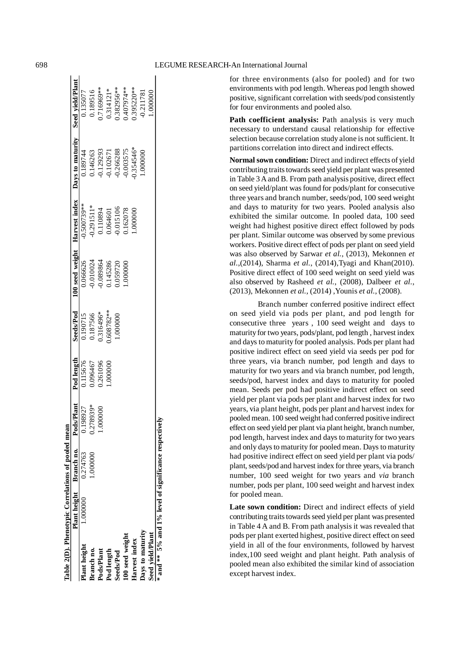$\mathbf{I}$ 

for three environments (also for pooled) and for two environments with pod length. Whereas pod length showed positive, significant correlation with seeds/pod consistently for four environments and pooled also.

Path coefficient analysis: Path analysis is very much necessary to understand causal relationship for effective selection because correlation study alone is not sufficient. It partitions correlation into direct and indirect effects.

**Normal sown condition:** Direct and indirect effects of yield contributing traits towards seed yield per plant was presented in Table 3 A and B. From path analysis positive, direct effect on seed yield/plant was found for pods/plant for consecutive three years and branch number, seeds/pod, 100 seed weight and days to maturity for two years. Pooled analysis also exhibited the similar outcome. In pooled data, 100 seed weight had highest positive direct effect followed by pods per plant. Similar outcome was observed by some previous workers. Positive direct effect of pods per plant on seed yield was also observed by Sarwar *et al.*, (2013), Mekonnen *et al.*,(2014), Sharma *et al.*, (2014),Tyagi and Khan(2010). Positive direct effect of 100 seed weight on seed yield was also observed by Rasheed *et al.*, (2008), Dalbeer *et al.*, (2013), Mekonnen *et al.*, (2014) ,Younis *et al.*, (2008).

Branch number conferred positive indirect effect on seed yield via pods per plant, and pod length for consecutive three years , 100 seed weight and days to maturity for two years, pods/plant, pod length , harvest index and days to maturity for pooled analysis. Pods per plant had positive indirect effect on seed yield via seeds per pod for three years, via branch number, pod length and days to maturity for two years and via branch number, pod length, seeds/pod, harvest index and days to maturity for pooled mean. Seeds per pod had positive indirect effect on seed yield per plant via pods per plant and harvest index for two years, via plant height, pods per plant and harvest index for pooled mean. 100 seed weight had conferred positive indirect effect on seed yield per plant via plant height, branch number, pod length, harvest index and days to maturity for two years and only days to maturity for pooled mean. Days to maturity had positive indirect effect on seed yield per plant via pods/ plant, seeds/pod and harvest index for three years, via branch number, 100 seed weight for two years and *via* branch number, pods per plant, 100 seed weight and harvest index for pooled mean.

**Late sown condition:** Direct and indirect effects of yield contributing traits towards seed yield per plant was presented in Table 4 A and B. From path analysis it was revealed that pods per plant exerted highest, positive direct effect on seed yield in all of the four environments, followed by harvest index,100 seed weight and plant height. Path analysis of pooled mean also exhibited the similar kind of association except harvest index.

|                  | Table 2(D). Phenotypic Correlations of pooled mean    |                                    |             |            |              |          |            |                                                                 |            |
|------------------|-------------------------------------------------------|------------------------------------|-------------|------------|--------------|----------|------------|-----------------------------------------------------------------|------------|
|                  |                                                       | Plant height Branch no. Pods/Plant |             | Pod length | Seeds/Pod    |          |            | 100 seed weight Harvest index Days to maturity Seed yield/Plant |            |
| Plant height     | 1.000000                                              | 0.274763                           | 198927      | 0.115676   | 0.190715     | 0.066626 | 0.500739** | 1.189744                                                        | 0.135077   |
| Branch no.       |                                                       | .000000.                           | $0.278939*$ | 1.096467   | 0.187566     | 0.010024 | 0.291511*  | 146263                                                          | 0.189516   |
| Pods/Plant       |                                                       |                                    | 000000      | 0.261096   | 0.316496*    | 0.89864  | 110894     | 0.129293                                                        | 1716969 ** |
| Pod length       |                                                       |                                    |             | .000000.   | $0.608782**$ | 1,145286 | 0.064601   | 0.10267                                                         | 0.314121*  |
| <b>Seeds/Pod</b> |                                                       |                                    |             |            | .000000      | 0.059720 | 0.015106   | 0.266288                                                        | 1.382956** |
| 100 seed weight  |                                                       |                                    |             |            |              | .000000  | 162078     | 0.003575                                                        | **407974** |
| Harvest index    |                                                       |                                    |             |            |              |          | .000000    | 0.354546*                                                       | 1.395220** |
| Days to maturity |                                                       |                                    |             |            |              |          |            | 00000001                                                        | 0.211781   |
| Seed yield/Plant |                                                       |                                    |             |            |              |          |            |                                                                 | $000000$ . |
|                  | * and ** 5% and 1% level of significance respectively |                                    |             |            |              |          |            |                                                                 |            |

 $\mathbf{I}$   $\mathbf{I}$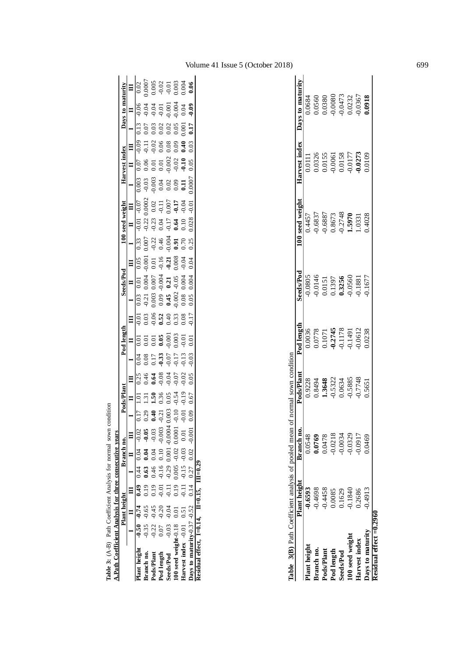|                                  | <b>OHOTE</b>                        |
|----------------------------------|-------------------------------------|
| lvere for normal cours con       |                                     |
| $\frac{1}{2}$                    |                                     |
|                                  | Figure Anglucio for throp concoordi |
| <b>The State of Alberta</b>      |                                     |
|                                  |                                     |
|                                  |                                     |
| le 3: $(A-B)$ Path Coefficient A | بگاه<br>با                          |
|                                  | .<br>په                             |
|                                  | ī                                   |

| <b>A.Path Coefficient Analysis for three consecutive years</b> |                                                                                  |  |                                     |                    |                  |      |                |                                                  |                                                     |                                                   |                                       |                             |                                       |                                                |                                                  |         |                              |                 |                              |                                                                                       |
|----------------------------------------------------------------|----------------------------------------------------------------------------------|--|-------------------------------------|--------------------|------------------|------|----------------|--------------------------------------------------|-----------------------------------------------------|---------------------------------------------------|---------------------------------------|-----------------------------|---------------------------------------|------------------------------------------------|--------------------------------------------------|---------|------------------------------|-----------------|------------------------------|---------------------------------------------------------------------------------------|
|                                                                | Plant height Branch no.                                                          |  |                                     |                    | Pods/Plan        |      |                | Pod lengt                                        |                                                     |                                                   | Seeds/Pod                             |                             |                                       | $100$ seed $\cdot$                             |                                                  |         | Harvest index                |                 | Days to maturity             |                                                                                       |
|                                                                | $\begin{array}{cccccccccccccc} \Pi & \Pi & \Pi & \Pi & \Pi \end{array}$          |  |                                     |                    |                  |      |                |                                                  |                                                     |                                                   |                                       |                             |                                       |                                                |                                                  |         |                              |                 |                              |                                                                                       |
| Plant height $-0.50$ $-0.74$ $0.49$ $0.44$ $0.04$ $-0.02$      |                                                                                  |  |                                     | 0.17               |                  |      |                |                                                  |                                                     |                                                   |                                       | 0.05                        | 33                                    | $\overline{0.01}$                              | $-0.07$                                          | 0.003   |                              |                 |                              |                                                                                       |
| tranch no.                                                     |                                                                                  |  |                                     | 0.29               | 1.31             | 0.46 | 0.08           |                                                  | 0.03                                                | $-0.21$                                           | 0.004                                 | 0.001                       | 0.007                                 |                                                |                                                  | $-0.03$ | $\overline{0.11}$<br>0.06    |                 | $-0.04$                      |                                                                                       |
| Pods/Plant                                                     | $-0.35$ $-0.65$ 0.19 0.63 0.04 $-0.05$<br>$-0.22$ $-0.45$ 0.19 0.46 0.04 $-0.03$ |  |                                     | 0.40               | $\overline{50}$  | 0.64 | 0.17           |                                                  |                                                     |                                                   |                                       | 0.01                        |                                       |                                                |                                                  | 0.003   | $0.02$<br>0.06<br>0.01       | 0.03            |                              |                                                                                       |
| Pod length                                                     | $0.07$ $-0.20$ $-0.01$ $-0.16$ 0.10 $-0.003$                                     |  |                                     |                    | $0.36$<br>$0.05$ | 0.08 |                |                                                  | $\begin{array}{c} 0.06 \\ 0.52 \\ 0.40 \end{array}$ |                                                   |                                       |                             |                                       |                                                |                                                  |         | 0.01                         | 0.02            |                              |                                                                                       |
| eeds/Pod                                                       | $-0.03$ $-0.04$ $-0.11$ $-0.29$ 0.001 $-0.004$                                   |  |                                     | $-0.21$<br>$0.003$ |                  | 0.04 | $0.33$<br>0.07 | 0.01<br>0.0 <b>9<br/>0.001</b><br>0.001<br>0.003 |                                                     | $0.003$<br>$0.09$<br>$0.45$<br>$0.002$<br>$0.002$ | $0.007$<br>$0.21$<br>$0.21$<br>$0.05$ | $-0.16$<br>$-0.21$<br>0.008 | $0.32$<br>$0.46$<br>$0.004$<br>$0.91$ | $0.23$<br>$0.23$<br>$0.04$<br>$0.17$<br>$0.64$ | $0.0002$<br>0.02<br>0.07<br>0.07<br>0.07<br>0.04 |         | 0.08<br>$\frac{0.002}{0.02}$ | 0.02            | $0.01$<br>$0.001$<br>$0.004$ | $\begin{array}{r} 0.0007 \\ 0.005 \\ -0.01 \\ -0.01 \\ 0.003 \\ 0.004 \\ \end{array}$ |
| 100 seed weight- $0.18$ 0.01                                   |                                                                                  |  | $0.19$ $0.005$ $-0.02$ $0.0001$ $-$ | $-0.10$            | $-0.54$          |      |                |                                                  | 0.33                                                |                                                   |                                       |                             |                                       |                                                |                                                  |         | 0.09                         | 0.05            |                              |                                                                                       |
| Jarvest index -0.01 0.51 -0.11 -0.15 -0.03 0.01 -              |                                                                                  |  |                                     | $-0.01$            |                  | 0.02 | 0.13           | 0.01                                             | 0.08                                                |                                                   | 0.004                                 | 0.04                        | 0.70                                  | 0.10                                           |                                                  |         | 3.40                         | $\overline{0}0$ | 0.04                         |                                                                                       |
| Days to maturity-0.37 -0.52 0.14 0.27 0.02 -0.001              |                                                                                  |  |                                     |                    | 1.67             | 0.05 | 0.03           | Ξ                                                | 0.17                                                | 0.05                                              | 0.004                                 | 04                          | 0.25                                  | 0.28                                           | 0.01                                             | 1.0007  | 0.05                         | 7LI             | 0.09                         |                                                                                       |
| Residual effect, $I=0.14$ , $II=0.15$ , $III=0.29$             |                                                                                  |  |                                     |                    |                  |      |                |                                                  |                                                     |                                                   |                                       |                             |                                       |                                                |                                                  |         |                              |                 |                              |                                                                                       |

|                         | Plant height | Branch no. | ods/Plan:                                        | Pod lengti                                     | Seeds/Pod                  | $\sqrt{2}$                                  | Tarvest index                                                                                        | Days to maturity                                                                                               |
|-------------------------|--------------|------------|--------------------------------------------------|------------------------------------------------|----------------------------|---------------------------------------------|------------------------------------------------------------------------------------------------------|----------------------------------------------------------------------------------------------------------------|
| lant height             | 0.6593       | 0.0548     |                                                  | 0.0036                                         | 0.0805                     | 0.4457                                      |                                                                                                      |                                                                                                                |
| iranch no.              | 0.4698       | 0.0769     |                                                  |                                                | $-0.0146$                  | 0.6837                                      |                                                                                                      |                                                                                                                |
| ods/Plant               | 0.4458       | 0.0478     | $0.9228$<br>0.8494<br>1.3648<br>1.5322<br>0.0634 | 0.0778<br>0.1071<br>0.2745<br>0.1178<br>0.1491 | 0.0151                     | $\frac{0.6887}{0.8673}$<br>0.8673<br>1.5970 | $\begin{array}{l} 0.0111\\ 0.0326\\ 0.0155\\ 0.0061\\ 0.0061\\ 0.0158\\ 0.0138\\ 0.0177 \end{array}$ |                                                                                                                |
| Pod length              | 0.0085       | 0.0218     |                                                  |                                                |                            |                                             |                                                                                                      |                                                                                                                |
| eeds/Pod                | 1.1629       | 0.0034     |                                                  |                                                | 0.1397<br>0.3256<br>0.0560 |                                             |                                                                                                      |                                                                                                                |
| 00 seed weight          | 0.1840       | 0.0329     | $-0.5885$                                        |                                                |                            |                                             |                                                                                                      |                                                                                                                |
| larvest index           | 0.2686       | 1.0917     | 0.7748                                           | 0.0612                                         | 0.1881                     | 1.0331                                      | 0.0273                                                                                               | $\begin{array}{l} 0.0684 \\ 0.0560 \\ 0.0380 \\ 0.0080 \\ 0.0000 \\ 0.0473 \\ 0.0232 \\ 0.0367 \\ \end{array}$ |
| ays to maturity         | 0.4913       | 0469.      | 0.5651                                           | 0.238                                          | 0.1677                     | 0.4028                                      | 0.0109                                                                                               |                                                                                                                |
| esidual effect $=0.296$ |              |            |                                                  |                                                |                            |                                             |                                                                                                      |                                                                                                                |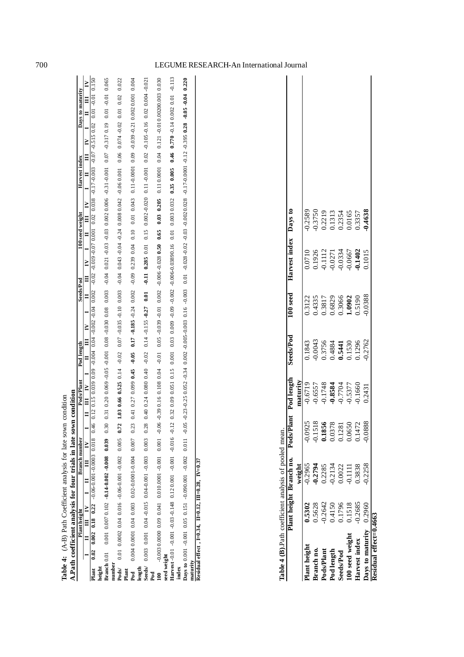| Ficient analysis for late sown condition | t analysis for four trials in late sown condit |
|------------------------------------------|------------------------------------------------|
|                                          |                                                |
|                                          |                                                |
|                                          |                                                |
|                                          |                                                |
| Í<br>֝׆<br>،                             |                                                |
| $(A-B)$ Path<br>$\overline{A}$           |                                                |
| sle 4                                    | $\frac{1}{2}$<br>j                             |
|                                          |                                                |

| A.Path coefficient analysis for four trials in late sown condition |  |                    |  |               |  |                                                                       |  |                                    |           |  |  |                 |                                                                                                                                                                                                                                                                                                                                                |               |  |                  |       |  |
|--------------------------------------------------------------------|--|--------------------|--|---------------|--|-----------------------------------------------------------------------|--|------------------------------------|-----------|--|--|-----------------|------------------------------------------------------------------------------------------------------------------------------------------------------------------------------------------------------------------------------------------------------------------------------------------------------------------------------------------------|---------------|--|------------------|-------|--|
|                                                                    |  | Plant height       |  | Branch number |  | Pods/Plant Pod length                                                 |  |                                    | Seeds/Pod |  |  | 100 seed weight |                                                                                                                                                                                                                                                                                                                                                | Harvest index |  | Days to maturity |       |  |
|                                                                    |  | I II I I I I I I I |  |               |  |                                                                       |  |                                    |           |  |  |                 |                                                                                                                                                                                                                                                                                                                                                |               |  |                  |       |  |
| Plant 0.02 0.002 0.18 0.22 -0.06-0.001-0.0003 0.018 0.46           |  |                    |  |               |  |                                                                       |  |                                    |           |  |  |                 |                                                                                                                                                                                                                                                                                                                                                |               |  |                  |       |  |
| height                                                             |  |                    |  |               |  |                                                                       |  |                                    |           |  |  |                 |                                                                                                                                                                                                                                                                                                                                                |               |  |                  |       |  |
| Branch 0.01 0.001 0.007 0.102 -0.14-0.002 -0.008 0.039 0.30        |  |                    |  |               |  |                                                                       |  |                                    |           |  |  |                 |                                                                                                                                                                                                                                                                                                                                                |               |  |                  |       |  |
| number                                                             |  |                    |  |               |  |                                                                       |  |                                    |           |  |  |                 |                                                                                                                                                                                                                                                                                                                                                |               |  |                  |       |  |
| <b>Pods/</b> 0.01 0.0002 0.04 0.016 -0.06-0.001 -0.002 0.005 0.72  |  |                    |  |               |  | $1.03$ 0.66 0.525 0.14 $-0.02$                                        |  | $0.07 - 0.035 - 0.10$ 0.003        |           |  |  |                 | $0.04 \cdot 0.02 \cdot 0.02 \cdot 0.05 \cdot 0.06 \cdot 0.06 \cdot 0.07 \cdot 0.006 \cdot 0.006 \cdot 0.007 \cdot 0.004 \cdot 0.004 \cdot 0.004 \cdot 0.004 \cdot 0.004 \cdot 0.004 \cdot 0.004 \cdot 0.004 \cdot 0.004 \cdot 0.004 \cdot 0.004 \cdot 0.004 \cdot 0.004 \cdot 0.004 \cdot 0.004 \cdot 0.004 \cdot 0.004 \cdot 0.004 \cdot 0.0$ |               |  |                  | 0.022 |  |
| Plant                                                              |  |                    |  |               |  |                                                                       |  |                                    |           |  |  |                 |                                                                                                                                                                                                                                                                                                                                                |               |  |                  |       |  |
| Pod                                                                |  |                    |  |               |  | $0.41$ 0.27 0.099 0.45                                                |  | $-0.05$ 0.17 $-0.185 - 0.24$ 0.002 |           |  |  |                 | t00.0 I00.0200.0 IZ:0-650.0-60.0 I000.0-II.0 st0.0 I0.0 0I.0 t0.0 652.0 60.0-                                                                                                                                                                                                                                                                  |               |  |                  |       |  |
| length                                                             |  |                    |  |               |  |                                                                       |  |                                    |           |  |  |                 |                                                                                                                                                                                                                                                                                                                                                |               |  |                  |       |  |
| Seeds/ $0.003$ 0.001 0.04 -0.04 0.04 0.001 -0.003 0.003 0.28       |  |                    |  |               |  | $0.40$ $0.24$ $0.080$ $0.40$ $0.14$ $0.155$ $0.155$ $0.27$ $0.01$     |  |                                    |           |  |  |                 | 710.000 10.000 10.000 10.000 10.000 10.000 10.000 10.000 10.000 10.000 10.000 10.000 10.000 10.000 10.000 10.000 10.000 10.000 10.000 10.000 10.000 10.000 10.000 10.000 10.000 10.000 10.000 10.000 10.000 10.000 10.000 10.0                                                                                                                 |               |  |                  |       |  |
|                                                                    |  |                    |  |               |  |                                                                       |  |                                    |           |  |  |                 |                                                                                                                                                                                                                                                                                                                                                |               |  |                  |       |  |
|                                                                    |  |                    |  |               |  |                                                                       |  |                                    |           |  |  |                 |                                                                                                                                                                                                                                                                                                                                                |               |  |                  |       |  |
| seed weight                                                        |  |                    |  |               |  |                                                                       |  |                                    |           |  |  |                 |                                                                                                                                                                                                                                                                                                                                                |               |  |                  |       |  |
| Harvest -0.01 -0.001 -0.03 -0.148 0.120.001 -0.001 -0.016 -0.12    |  |                    |  |               |  |                                                                       |  |                                    |           |  |  |                 |                                                                                                                                                                                                                                                                                                                                                |               |  |                  |       |  |
| index                                                              |  |                    |  |               |  |                                                                       |  |                                    |           |  |  |                 |                                                                                                                                                                                                                                                                                                                                                |               |  |                  |       |  |
| Days to 0.001 -0.001 0.05 0.151 -0.090.001 -0.002 0.011 -0.05      |  |                    |  |               |  | $-0.23 - 0.25$ $0.052 - 0.34$ $0.002 - 0.005 - 0.003$ $0.16$ $-0.003$ |  |                                    |           |  |  |                 |                                                                                                                                                                                                                                                                                                                                                |               |  |                  |       |  |
| maturity                                                           |  |                    |  |               |  |                                                                       |  |                                    |           |  |  |                 |                                                                                                                                                                                                                                                                                                                                                |               |  |                  |       |  |
| Residual effect, $I=0.34$ , $II=0.12$ , $III=0.28$ , $IV=0.37$     |  |                    |  |               |  |                                                                       |  |                                    |           |  |  |                 |                                                                                                                                                                                                                                                                                                                                                |               |  |                  |       |  |

|                 |        | Plant height Branch no. | Pods/Pla | Pod length                                                                                   | Seeds/Pod                                                           | 100 seed                                                 | Harvest index Days to                                                                                                |                                                                    |
|-----------------|--------|-------------------------|----------|----------------------------------------------------------------------------------------------|---------------------------------------------------------------------|----------------------------------------------------------|----------------------------------------------------------------------------------------------------------------------|--------------------------------------------------------------------|
|                 |        | weight                  |          | vaturity                                                                                     |                                                                     |                                                          |                                                                                                                      |                                                                    |
| lant height     | 1.5302 | 0.2965                  | 0.0925   |                                                                                              |                                                                     |                                                          |                                                                                                                      |                                                                    |
| Branch no.      | 1.5628 | 0.2794                  | 0.1518   |                                                                                              |                                                                     |                                                          |                                                                                                                      |                                                                    |
| Pods/Plant      | 0.2642 | 0.2285                  | 0.1856   |                                                                                              |                                                                     |                                                          |                                                                                                                      |                                                                    |
| Pod length      | 0.4150 | 0.2134                  | 0.0378   | $0.6719$<br>$0.6557$<br>$0.1748$<br>$0.1748$<br>$0.3584$<br>$0.7704$<br>$0.5377$<br>$0.1660$ | 0.1843<br>0.0043<br>0.3756<br>0.5441<br>0.1530<br>0.1296<br>0.12962 | 0.3122<br>0.4335<br>0.3817<br>0.3066<br>0.3066<br>1.0902 | $\begin{array}{l} 0.0710 \\ 0.1926 \\ 0.1112 \\ 0.0271 \\ 0.0334 \\ 0.0667 \\ 0.0667 \\ \textbf{0.1402} \end{array}$ | 0.2589<br>0.3750<br>0.2219<br>0.1313<br>0.0165<br>0.3357<br>0.3357 |
| seeds/Pod       | 0.1796 | 0.0022                  | 1.1281   |                                                                                              |                                                                     |                                                          |                                                                                                                      |                                                                    |
| .00 seed weight | 1518   | 0.1111                  | 0.0650   |                                                                                              |                                                                     |                                                          |                                                                                                                      |                                                                    |
| larvest index   | 0.2685 | 0.3838                  | 1472     |                                                                                              |                                                                     |                                                          |                                                                                                                      |                                                                    |
| ays to maturity | 0.2960 | ).2258                  | 0.888    | 0.2431                                                                                       |                                                                     | 0.0388                                                   |                                                                                                                      |                                                                    |

#### 700 LEGUME RESEARCH-A n International Journal